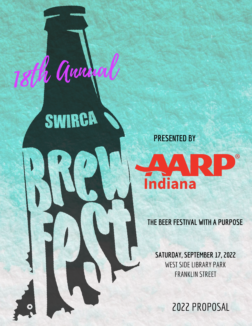

18th Annual

SWIRCA



**THE BEER FESTIVAL WITH A PURPOSE**

**SATURDAY, SEPTEMBER 17, 2022** WEST SIDE LIBRARY PARK FRANKLIN STREET

2022 PROPOSAL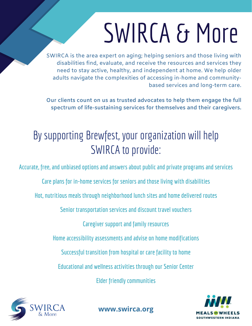# SWIRCA & More

SWIRCA is the area expert on aging; helping seniors and those living with disabilities find, evaluate, and receive the resources and services they need to stay active, healthy, and independent at home. We help older adults navigate the complexities of accessing in-home and communitybased services and long-term care.

**Our clients count on us as trusted advocates to help them engage the full spectrum of life-sustaining services for themselves and their caregivers.**

#### By supporting Brewfest, your organization will help SWIRCA to provide:

**Accurate, free, and unbiased options and answers about public and private programs and services**

**Care plans for in-home services for seniors and those living with disabilities**

**Hot, nutritious meals through neighborhood lunch sites and home delivered routes**

**Senior transportation services and discount travel vouchers**

**Caregiver support and family resources**

**Home accessibility assessments and adviseon home modifications**

**Successful transition from hospitalor care facility to home**

**Educational and wellness activities through our Senior Center**

**Elder friendly communities**



**www.swirca.org**

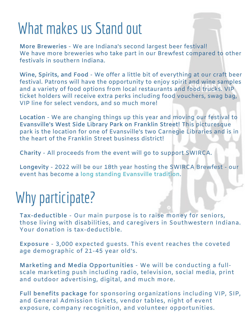### What makes us Stand out

**More Breweries** - We are Indiana's second largest beer festival! We have more breweries who take part in our Brewfest compared to other festivals in southern Indiana.

**Wine, Spirits, and Food** - We offer a little bit of everything at our craft beer festival. Patrons will have the opportunity to enjoy spirit and wine samples and a variety of food options from local restaurants and food trucks. VIP ticket holders will receive extra perks including food vouchers, swag bag, VIP line for select vendors, and so much more!

**Location** - We are changing things up this year and moving our festival to **Evansville's West Side Library Park on Franklin Street!** This picturesque park is the location for one of Evansville's two Carnegie Libraries and is in the heart of the Franklin Street business district!

**Charity** - All proceeds from the event will go to support SWIRCA.

**Longevity** - 2022 will be our 18th year hosting the SWIRCA Brewfest - our event has become a **long standing Evansville tradition**.

### Why participate?

**Tax-deductible** - Our main purpose is to raise money for seniors, those living with disabilities, and caregivers in Southwestern Indiana. Your donation is tax-deductible.

**Exposure** - 3,000 expected guests. This event reaches the coveted age demographic of 21-45 year old's.

**Marketing and Media Opportunities** - We will be conducting a fullscale marketing push including radio, television, social media, print and outdoor advertising, digital, and much more.

**Full benefits package** for sponsoring organizations including VIP, SIP, and General Admission tickets, vendor tables, night of event exposure, company recognition, and volunteer opportunities.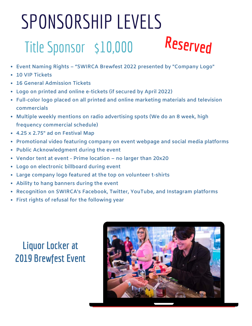### SPONSORSHIP LEVELS Title Sponsor \$10,000 **Reserved**

- **Event Naming Rights – "SWIRCA Brewfest 2022 presented by "Company Logo"**
- **10 VIP Tickets**
- **16 General Admission Tickets**
- **Logo on printed and online e-tickets (if secured by April 2022)**
- **Full-color logo placed on all printed and online marketing materials and television commercials**
- **Multiple weekly mentions on radio advertising spots (We do an 8 week, high frequency commercial schedule)**
- **4.25 x 2.75" ad on Festival Map**
- **Promotional video featuring company on event webpage and social media platforms**
- **Public Acknowledgment during the event**
- **Vendor tent at event - Prime location – no larger than 20x20**
- **Logo on electronic billboard during event**
- **Large company logo featured at the top on volunteer t-shirts**
- **Ability to hang banners during the event**
- **Recognition on SWIRCA's Facebook, Twitter, YouTube, and Instagram platforms**
- **First rights of refusal for the following year**

#### **Liquor Locker at 2019 Brewfest Event**

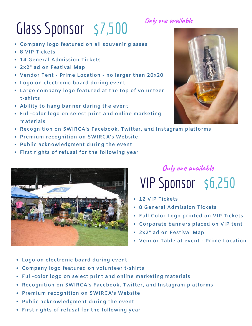### Glass Sponsor \$7,500

- **Company logo featured on all souvenir glasses**
- **8 VIP Tickets**
- **14 General Admission Tickets**
- **2x2" ad on Festival Map**
- **Vendor Tent - Prime Location - no larger than 20x20**
- **Logo on electronic board during event**
- **Large company logo featured at the top of volunteer t-shirts**
- **Ability to hang banner during the event**
- **Full-color logo on select print and online marketing materials**
- **Recognition on SWIRCA's Facebook, Twitter, and Instagram platforms**
- **Premium recognition on SWIRCA's Website**
- **Public acknowledgment during the event**
- **First rights of refusal for the following year**



**Only one available**

### VIP Sponsor \$6,250

- **12 VIP Tickets**
- **8 General Admission Tickets**
- **Full Color Logo printed on VIP Tickets**
- **Corporate banners placed on VIP tent**
- **2x2" ad on Festival Map**

**Only one available**

- **Vendor Table at event - Prime Location**
- **Logo on electronic board during event**
- **Company logo featured on volunteer t-shirts**
- **Full-color logo on select print and online marketing materials**
- **Recognition on SWIRCA's Facebook, Twitter, and Instagram platforms**
- **Premium recognition on SWIRCA's Website**
- **Public acknowledgment during the event**
- **First rights of refusal for the following year**

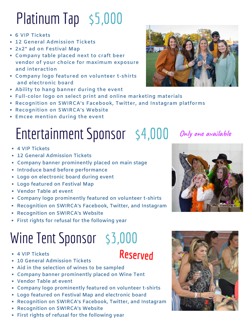### Platinum Tap \$5,000

- **6 VIP Tickets**
- **12 General Admission Tickets**
- **2x2" ad on Festival Map**
- **Company table placed next to craft beer vendor of your choice for maximum exposure and interaction**
- **Company logo featured on volunteer t-shirts and electronic board**
- **Ability to hang banner during the event**
- **Full-color logo on select print and online marketing materials**
- **Recognition on SWIRCA's Facebook, Twitter, and Instagram platforms**
- **Recognition on SWIRCA's Website**
- **Emcee mention during the event**

#### Entertainment Sponsor \$4,000 **Only one available**

- **4 VIP Tickets**
- **12 General Admission Tickets**
- **Company banner prominently placed on main stage**
- **Introduce band before performance**
- **Logo on electronic board during event**
- **Logo featured on Festival Map**
- **Vendor Table at event**
- **Company logo prominently featured on volunteer t-shirts**
- **Recognition on SWIRCA's Facebook, Twitter, and Instagram**
- **Recognition on SWIRCA's Website**
- **First rights for refusal for the following year**

### Wine Tent Sponsor \$3,000

- **4 VIP Tickets**
- **10 General Admission Tickets**
- **Aid in the selection of wines to be sampled**
- **Company banner prominently placed on Wine Tent**
- **Vendor Table at event**
- **Company logo prominently featured on volunteer t-shirts**
- **Logo featured on Festival Map and electronic board**
- **Recognition on SWIRCA's Facebook, Twitter, and Instagram**
- **Recognition on SWIRCA's Website**
- **First rights of refusal for the following year**







#### **Reserved**

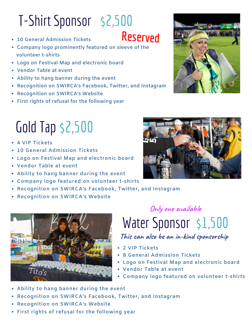### T-Shirt Sponsor \$2,500

- **10 General Admission Tickets**
- **Company logo prominently featured on sleeve of the volunteer t-shirts**
- **Logo on Festival Map and electronic board**
- **Vendor Table at event**
- **Ability to hang banner during the event**
- **Recognition on SWIRCA's Facebook, Twitter, and Instagram**  $\bullet$
- **Recognition on SWIRCA's Website**
- **First rights of refusal for the following year**

### Gold Tap \$2,500

- **4 VIP Tickets**
- **10 General Admission Tickets**
- **Logo on Festival Map and electronic board**
- **Vendor Table at event**
- **Ability to hang banner during the event**
- **Company logo featured on volunteer t-shirts**
- **Recognition on SWIRCA's Facebook, Twitter, and Instagram**
- **Recognition on SWIRCA's Website**



### Water Sponsor \$1,500

**A D D E S C R I P T I O N This can also be an in-kind sponsorship**

- **2 VIP Tickets** 
	- **8 General Admission Tickets**
	- **Logo on Festival Map and electronic board**
	- **Vendor Table at event**
	- **Company logo featured on volunteer t-shirts**
- **Ability to hang banner during the event**
- **Recognition on SWIRCA's Facebook, Twitter, and Instagram**  $\bullet$
- **Recognition on SWIRCA's Website**
- **First rights of refusal for the following year**







**Reserved**

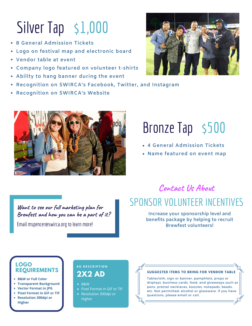### Silver Tap \$1,000

- **8 General Admission Tickets**
- **Logo on festival map and electronic board**
- **Vendor table at event**
- **Company logo featured on volunteer t-shirts**
- **Ability to hang banner during the event**
- **Recognition on SWIRCA's Facebook, Twitter, and Instagram**
- **Recognition on SWIRCA's Website**





### Bronze Tap \$500

- **4 General Admission Tickets**
- **Name featured on event map**

**Want to see our full marketing plan for Brewfest and how you can be a part of it?** Email mspencer@swirca.org to learn more!

#### **Contact Us About**

#### SPONSOR VOLUNTEER INCENTIVES

**Increase your sponsorship level and benefits package by helping to recruit Brewfest volunteers!**

#### **LOGO REQUIREMENTS**

- **B&W or Full Color**
- **Transparent Background**
- **Vector Format in JPG**
- **Pixel Format in GIF or TIF Resolution 300dpi or**
- **Higher**

#### **A D D E S C R I P T I O N**

- $-BRW$
- Pixel Format in GIF or TIF
- Resolution 300dpi or **Higher**

#### **Tablecloth, sign or banner, pamphlets, props or**  $\mathbf{P}(\mathbf{X}|\mathbf{X})$  **<b>Tablecloth, sign or banner, pamphlets, props or**

displays, business cards, food, and giveaways such as pens, pretzel necklaces, koozies, notepads, beads, etc. Not permitted: alcohol or glassware. If you have questions, please email or call.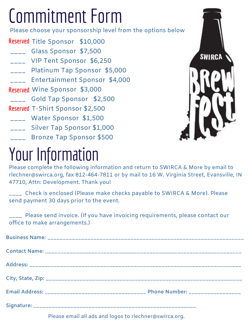## Commitment Form

Please choose your sponsorship level from the options below

**Reserved** Title Sponsor \$10,000 \_\_\_\_ Glass Sponsor \$7,500 \_\_\_\_ VIP Tent Sponsor \$6,250 \_\_\_\_ Platinum Tap Sponsor \$5,000 \_\_\_\_ Entertainment Sponsor \$4,000 Wine Sponsor \$3,000 **Reserved** \_\_\_\_ Gold Tap Sponsor \$2,500 **Reserved** T-Shirt Sponsor \$2,500 \_\_\_\_ Water Sponsor \$1,500 \_\_\_\_ Silver Tap Sponsor \$1,000 \_\_\_\_ Bronze Tap Sponsor \$500

## Your Information

**SWIRCA** 

Please complete the following information and return to SWIRCA & More by email to rlechner@swirca.org, fax 812-464-7811 or by mail to 16 W. Virginia Street, Evansville, IN 47710, Attn: Development. Thank you!

\_\_\_\_ Check is enclosed (Please make checks payable to SWIRCA & More). Please send payment 30 days prior to the event.

\_\_\_\_ Please send invoice. (If you have invoicing requirements, please contact our office to make arrangements.)

Please email all ads and logos to rlechner@swirca.org.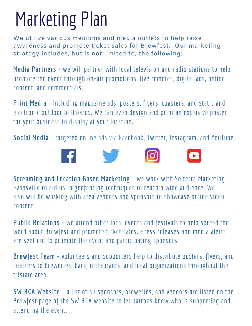## Marketing Plan

We utilize various mediums and media outlets to help raise awareness and promote ticket sales for Brewfest. Our marketing strategy includes, but is not limited to, the following:

**Media Partners** - we will partner with local television and radio stations to help promote the event through on-air promotions, live remotes, digital ads, online content, and commercials.

**Print Media** - including magazine ads, posters, flyers, coasters, and static and electronic outdoor billboards. We can even design and print an exclusive poster for your business to display at your location.

**Social Media** - targeted online ads via Facebook, Twitter, Instagram, and YouTube



**Streaming and Location Based Marketing** - we work with Solterra Marketing Evansville to aid us in geofencing techniques to reach a wide audience. We also will be working with area vendors and sponsors to showcase online video content.

**Public Relations** - we attend other local events and festivals to help spread the word about Brewfest and promote ticket sales. Press releases and media alerts are sent out to promote the event and participating sponsors.

**Brewfest Team** - volunteers and supporters help to distribute posters, flyers, and coasters to breweries, bars, restaurants, and local organizations throughout the tristate area.

**SWIRCA Website** - a list of all sponsors, breweries, and vendors are listed on the Brewfest page of the SWIRCA website to let patrons know who is supporting and attending the event.